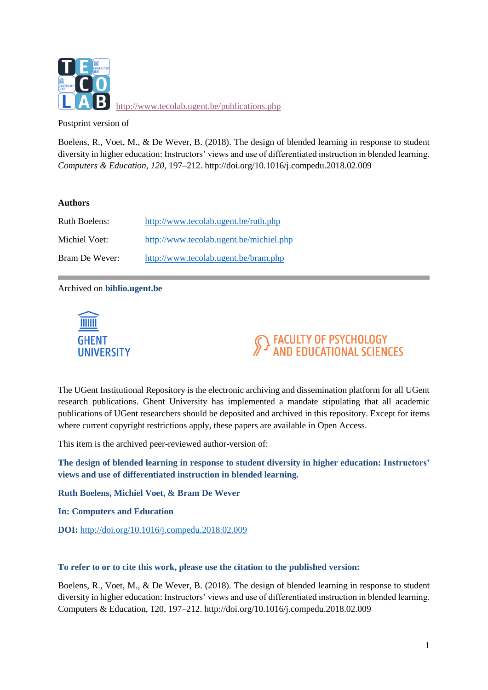

<http://www.tecolab.ugent.be/publications.php>

Postprint version of

Boelens, R., Voet, M., & De Wever, B. (2018). The design of blended learning in response to student diversity in higher education: Instructors' views and use of differentiated instruction in blended learning. *Computers & Education, 120*, 197–212. http://doi.org/10.1016/j.compedu.2018.02.009

# **Authors**

| <b>Ruth Boelens:</b> | http://www.tecolab.ugent.be/ruth.php    |
|----------------------|-----------------------------------------|
| Michiel Voet:        | http://www.tecolab.ugent.be/michiel.php |
| Bram De Wever:       | http://www.tecolab.ugent.be/bram.php    |

Archived on **biblio.ugent.be**



# FACULTY OF PSYCHOLOGY<br>AND EDUCATIONAL SCIENCES

The UGent Institutional Repository is the electronic archiving and dissemination platform for all UGent research publications. Ghent University has implemented a mandate stipulating that all academic publications of UGent researchers should be deposited and archived in this repository. Except for items where current copyright restrictions apply, these papers are available in Open Access.

This item is the archived peer-reviewed author-version of:

**The design of blended learning in response to student diversity in higher education: Instructors' views and use of differentiated instruction in blended learning.**

**Ruth Boelens, Michiel Voet, & Bram De Wever**

**In: Computers and Education**

**DOI:** <http://doi.org/10.1016/j.compedu.2018.02.009>

#### **To refer to or to cite this work, please use the citation to the published version:**

Boelens, R., Voet, M., & De Wever, B. (2018). The design of blended learning in response to student diversity in higher education: Instructors' views and use of differentiated instruction in blended learning. Computers & Education, 120, 197–212. http://doi.org/10.1016/j.compedu.2018.02.009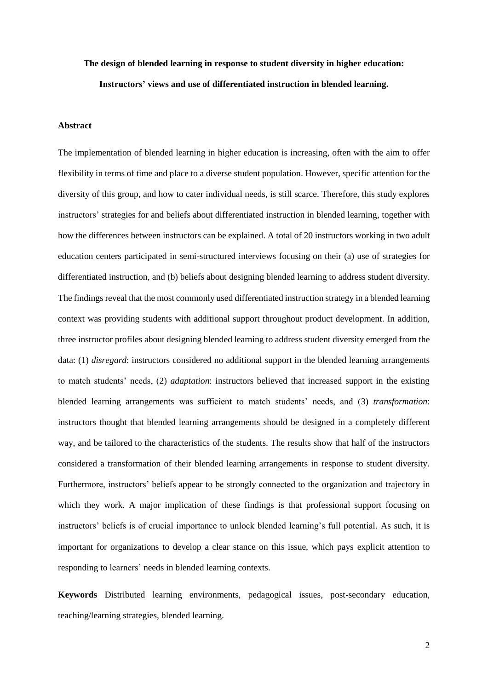# **The design of blended learning in response to student diversity in higher education: Instructors' views and use of differentiated instruction in blended learning.**

#### **Abstract**

The implementation of blended learning in higher education is increasing, often with the aim to offer flexibility in terms of time and place to a diverse student population. However, specific attention for the diversity of this group, and how to cater individual needs, is still scarce. Therefore, this study explores instructors' strategies for and beliefs about differentiated instruction in blended learning, together with how the differences between instructors can be explained. A total of 20 instructors working in two adult education centers participated in semi-structured interviews focusing on their (a) use of strategies for differentiated instruction, and (b) beliefs about designing blended learning to address student diversity. The findings reveal that the most commonly used differentiated instruction strategy in a blended learning context was providing students with additional support throughout product development. In addition, three instructor profiles about designing blended learning to address student diversity emerged from the data: (1) *disregard*: instructors considered no additional support in the blended learning arrangements to match students' needs, (2) *adaptation*: instructors believed that increased support in the existing blended learning arrangements was sufficient to match students' needs, and (3) *transformation*: instructors thought that blended learning arrangements should be designed in a completely different way, and be tailored to the characteristics of the students. The results show that half of the instructors considered a transformation of their blended learning arrangements in response to student diversity. Furthermore, instructors' beliefs appear to be strongly connected to the organization and trajectory in which they work. A major implication of these findings is that professional support focusing on instructors' beliefs is of crucial importance to unlock blended learning's full potential. As such, it is important for organizations to develop a clear stance on this issue, which pays explicit attention to responding to learners' needs in blended learning contexts.

**Keywords** Distributed learning environments, pedagogical issues, post-secondary education, teaching/learning strategies, blended learning.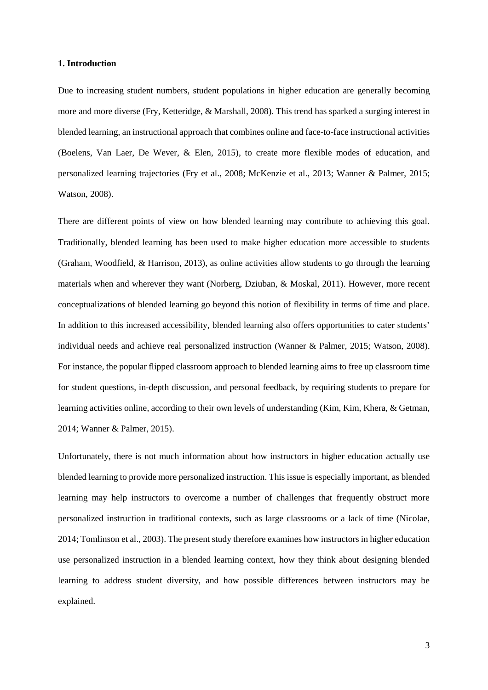#### **1. Introduction**

Due to increasing student numbers, student populations in higher education are generally becoming more and more diverse (Fry, Ketteridge, & Marshall, 2008). This trend has sparked a surging interest in blended learning, an instructional approach that combines online and face-to-face instructional activities (Boelens, Van Laer, De Wever, & Elen, 2015), to create more flexible modes of education, and personalized learning trajectories (Fry et al., 2008; McKenzie et al., 2013; Wanner & Palmer, 2015; Watson, 2008).

There are different points of view on how blended learning may contribute to achieving this goal. Traditionally, blended learning has been used to make higher education more accessible to students (Graham, Woodfield, & Harrison, 2013), as online activities allow students to go through the learning materials when and wherever they want (Norberg, Dziuban, & Moskal, 2011). However, more recent conceptualizations of blended learning go beyond this notion of flexibility in terms of time and place. In addition to this increased accessibility, blended learning also offers opportunities to cater students' individual needs and achieve real personalized instruction (Wanner & Palmer, 2015; Watson, 2008). For instance, the popular flipped classroom approach to blended learning aims to free up classroom time for student questions, in-depth discussion, and personal feedback, by requiring students to prepare for learning activities online, according to their own levels of understanding (Kim, Kim, Khera, & Getman, 2014; Wanner & Palmer, 2015).

Unfortunately, there is not much information about how instructors in higher education actually use blended learning to provide more personalized instruction. This issue is especially important, as blended learning may help instructors to overcome a number of challenges that frequently obstruct more personalized instruction in traditional contexts, such as large classrooms or a lack of time (Nicolae, 2014; Tomlinson et al., 2003). The present study therefore examines how instructors in higher education use personalized instruction in a blended learning context, how they think about designing blended learning to address student diversity, and how possible differences between instructors may be explained.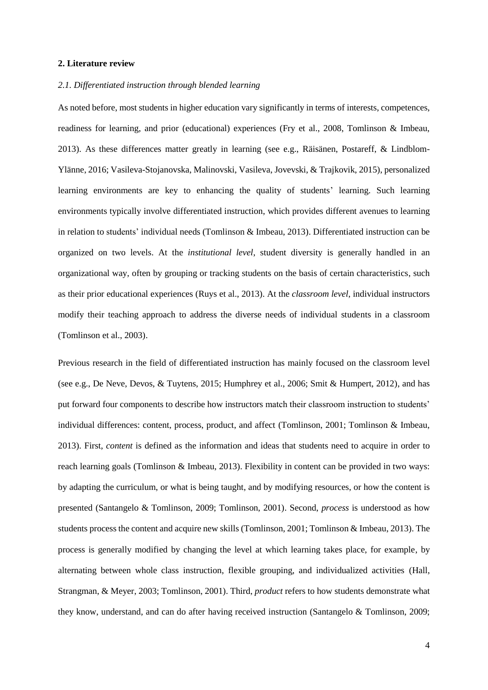#### **2. Literature review**

#### *2.1. Differentiated instruction through blended learning*

As noted before, most students in higher education vary significantly in terms of interests, competences, readiness for learning, and prior (educational) experiences (Fry et al., 2008, Tomlinson & Imbeau, 2013). As these differences matter greatly in learning (see e.g., Räisänen, Postareff, & Lindblom-Ylänne, 2016; Vasileva-Stojanovska, Malinovski, Vasileva, Jovevski, & Trajkovik, 2015), personalized learning environments are key to enhancing the quality of students' learning. Such learning environments typically involve differentiated instruction, which provides different avenues to learning in relation to students' individual needs (Tomlinson & Imbeau, 2013). Differentiated instruction can be organized on two levels. At the *institutional level*, student diversity is generally handled in an organizational way, often by grouping or tracking students on the basis of certain characteristics, such as their prior educational experiences (Ruys et al., 2013). At the *classroom level*, individual instructors modify their teaching approach to address the diverse needs of individual students in a classroom (Tomlinson et al., 2003).

Previous research in the field of differentiated instruction has mainly focused on the classroom level (see e.g., De Neve, Devos, & Tuytens, 2015; Humphrey et al., 2006; Smit & Humpert, 2012), and has put forward four components to describe how instructors match their classroom instruction to students' individual differences: content, process, product, and affect (Tomlinson, 2001; Tomlinson & Imbeau, 2013). First, *content* is defined as the information and ideas that students need to acquire in order to reach learning goals (Tomlinson & Imbeau, 2013). Flexibility in content can be provided in two ways: by adapting the curriculum, or what is being taught, and by modifying resources, or how the content is presented (Santangelo & Tomlinson, 2009; Tomlinson, 2001). Second, *process* is understood as how students process the content and acquire new skills (Tomlinson, 2001; Tomlinson & Imbeau, 2013). The process is generally modified by changing the level at which learning takes place, for example, by alternating between whole class instruction, flexible grouping, and individualized activities (Hall, Strangman, & Meyer, 2003; Tomlinson, 2001). Third, *product* refers to how students demonstrate what they know, understand, and can do after having received instruction (Santangelo & Tomlinson, 2009;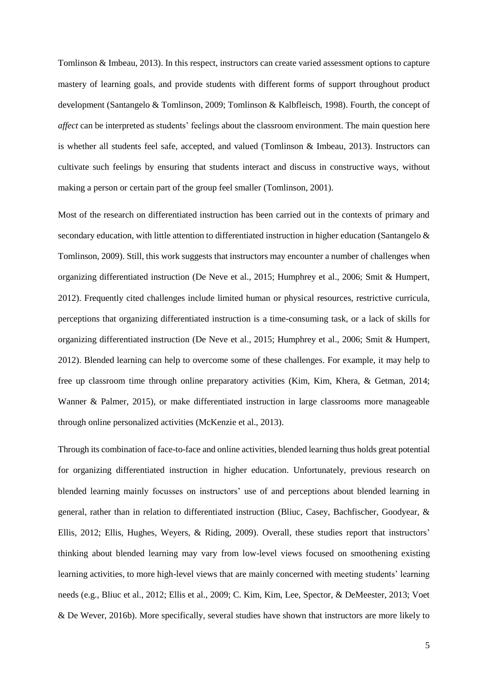Tomlinson & Imbeau, 2013). In this respect, instructors can create varied assessment options to capture mastery of learning goals, and provide students with different forms of support throughout product development (Santangelo & Tomlinson, 2009; Tomlinson & Kalbfleisch, 1998). Fourth, the concept of *affect* can be interpreted as students' feelings about the classroom environment. The main question here is whether all students feel safe, accepted, and valued (Tomlinson & Imbeau, 2013). Instructors can cultivate such feelings by ensuring that students interact and discuss in constructive ways, without making a person or certain part of the group feel smaller (Tomlinson, 2001).

Most of the research on differentiated instruction has been carried out in the contexts of primary and secondary education, with little attention to differentiated instruction in higher education (Santangelo & Tomlinson, 2009). Still, this work suggests that instructors may encounter a number of challenges when organizing differentiated instruction (De Neve et al., 2015; Humphrey et al., 2006; Smit & Humpert, 2012). Frequently cited challenges include limited human or physical resources, restrictive curricula, perceptions that organizing differentiated instruction is a time-consuming task, or a lack of skills for organizing differentiated instruction (De Neve et al., 2015; Humphrey et al., 2006; Smit & Humpert, 2012). Blended learning can help to overcome some of these challenges. For example, it may help to free up classroom time through online preparatory activities (Kim, Kim, Khera, & Getman, 2014; Wanner & Palmer, 2015), or make differentiated instruction in large classrooms more manageable through online personalized activities (McKenzie et al., 2013).

Through its combination of face-to-face and online activities, blended learning thus holds great potential for organizing differentiated instruction in higher education. Unfortunately, previous research on blended learning mainly focusses on instructors' use of and perceptions about blended learning in general, rather than in relation to differentiated instruction (Bliuc, Casey, Bachfischer, Goodyear, & Ellis, 2012; Ellis, Hughes, Weyers, & Riding, 2009). Overall, these studies report that instructors' thinking about blended learning may vary from low-level views focused on smoothening existing learning activities, to more high-level views that are mainly concerned with meeting students' learning needs (e.g., Bliuc et al., 2012; Ellis et al., 2009; C. Kim, Kim, Lee, Spector, & DeMeester, 2013; Voet & De Wever, 2016b). More specifically, several studies have shown that instructors are more likely to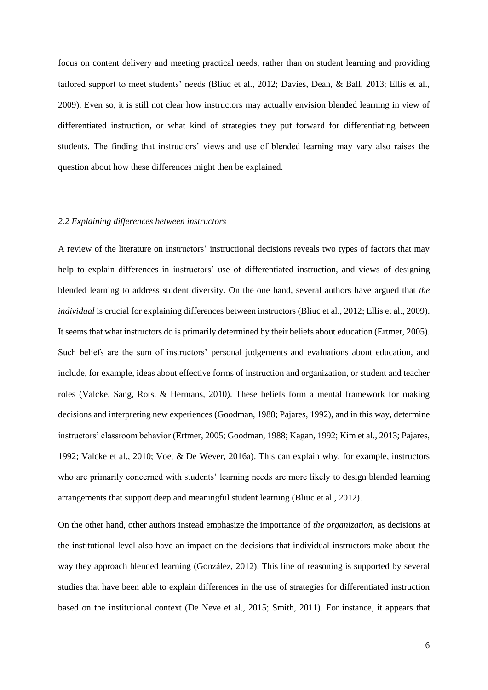focus on content delivery and meeting practical needs, rather than on student learning and providing tailored support to meet students' needs (Bliuc et al., 2012; Davies, Dean, & Ball, 2013; Ellis et al., 2009). Even so, it is still not clear how instructors may actually envision blended learning in view of differentiated instruction, or what kind of strategies they put forward for differentiating between students. The finding that instructors' views and use of blended learning may vary also raises the question about how these differences might then be explained.

#### *2.2 Explaining differences between instructors*

A review of the literature on instructors' instructional decisions reveals two types of factors that may help to explain differences in instructors' use of differentiated instruction, and views of designing blended learning to address student diversity. On the one hand, several authors have argued that *the individual* is crucial for explaining differences between instructors (Bliuc et al., 2012; Ellis et al., 2009). It seems that what instructors do is primarily determined by their beliefs about education (Ertmer, 2005). Such beliefs are the sum of instructors' personal judgements and evaluations about education, and include, for example, ideas about effective forms of instruction and organization, or student and teacher roles (Valcke, Sang, Rots, & Hermans, 2010). These beliefs form a mental framework for making decisions and interpreting new experiences (Goodman, 1988; Pajares, 1992), and in this way, determine instructors' classroom behavior (Ertmer, 2005; Goodman, 1988; Kagan, 1992; Kim et al., 2013; Pajares, 1992; Valcke et al., 2010; Voet & De Wever, 2016a). This can explain why, for example, instructors who are primarily concerned with students' learning needs are more likely to design blended learning arrangements that support deep and meaningful student learning (Bliuc et al., 2012).

On the other hand, other authors instead emphasize the importance of *the organization*, as decisions at the institutional level also have an impact on the decisions that individual instructors make about the way they approach blended learning (González, 2012). This line of reasoning is supported by several studies that have been able to explain differences in the use of strategies for differentiated instruction based on the institutional context (De Neve et al., 2015; Smith, 2011). For instance, it appears that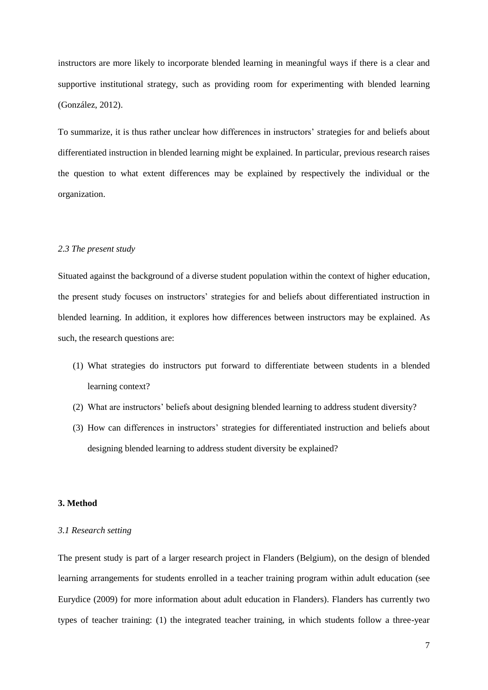instructors are more likely to incorporate blended learning in meaningful ways if there is a clear and supportive institutional strategy, such as providing room for experimenting with blended learning (González, 2012).

To summarize, it is thus rather unclear how differences in instructors' strategies for and beliefs about differentiated instruction in blended learning might be explained. In particular, previous research raises the question to what extent differences may be explained by respectively the individual or the organization.

#### *2.3 The present study*

Situated against the background of a diverse student population within the context of higher education, the present study focuses on instructors' strategies for and beliefs about differentiated instruction in blended learning. In addition, it explores how differences between instructors may be explained. As such, the research questions are:

- (1) What strategies do instructors put forward to differentiate between students in a blended learning context?
- (2) What are instructors' beliefs about designing blended learning to address student diversity?
- (3) How can differences in instructors' strategies for differentiated instruction and beliefs about designing blended learning to address student diversity be explained?

#### **3. Method**

#### *3.1 Research setting*

The present study is part of a larger research project in Flanders (Belgium), on the design of blended learning arrangements for students enrolled in a teacher training program within adult education (see Eurydice (2009) for more information about adult education in Flanders). Flanders has currently two types of teacher training: (1) the integrated teacher training, in which students follow a three-year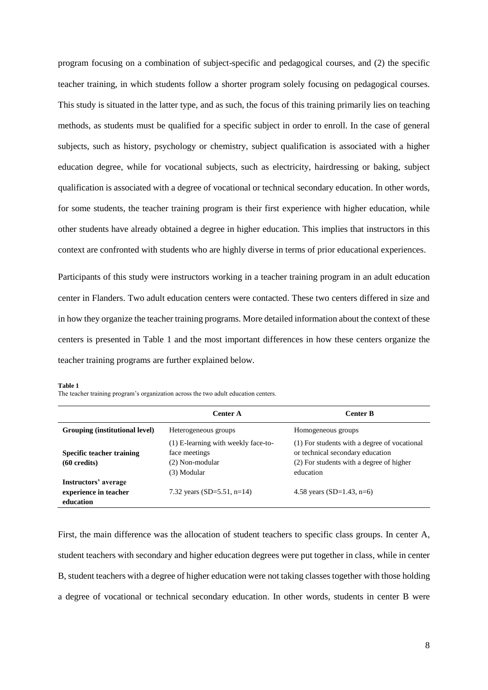program focusing on a combination of subject-specific and pedagogical courses, and (2) the specific teacher training, in which students follow a shorter program solely focusing on pedagogical courses. This study is situated in the latter type, and as such, the focus of this training primarily lies on teaching methods, as students must be qualified for a specific subject in order to enroll. In the case of general subjects, such as history, psychology or chemistry, subject qualification is associated with a higher education degree, while for vocational subjects, such as electricity, hairdressing or baking, subject qualification is associated with a degree of vocational or technical secondary education. In other words, for some students, the teacher training program is their first experience with higher education, while other students have already obtained a degree in higher education. This implies that instructors in this context are confronted with students who are highly diverse in terms of prior educational experiences.

Participants of this study were instructors working in a teacher training program in an adult education center in Flanders. Two adult education centers were contacted. These two centers differed in size and in how they organize the teacher training programs. More detailed information about the context of these centers is presented in Table 1 and the most important differences in how these centers organize the teacher training programs are further explained below.

#### **Table 1**

The teacher training program's organization across the two adult education centers.

|                                                            | Center A                                                                               | <b>Center B</b>                                                                                                                           |  |  |
|------------------------------------------------------------|----------------------------------------------------------------------------------------|-------------------------------------------------------------------------------------------------------------------------------------------|--|--|
| Grouping (institutional level)                             | Heterogeneous groups                                                                   | Homogeneous groups                                                                                                                        |  |  |
| Specific teacher training<br>$(60 \text{ credits})$        | (1) E-learning with weekly face-to-<br>face meetings<br>(2) Non-modular<br>(3) Modular | (1) For students with a degree of vocational<br>or technical secondary education<br>(2) For students with a degree of higher<br>education |  |  |
| Instructors' average<br>experience in teacher<br>education | 7.32 years (SD=5.51, n=14)                                                             | 4.58 years (SD=1.43, n=6)                                                                                                                 |  |  |

First, the main difference was the allocation of student teachers to specific class groups. In center A, student teachers with secondary and higher education degrees were put together in class, while in center B, student teachers with a degree of higher education were not taking classes together with those holding a degree of vocational or technical secondary education. In other words, students in center B were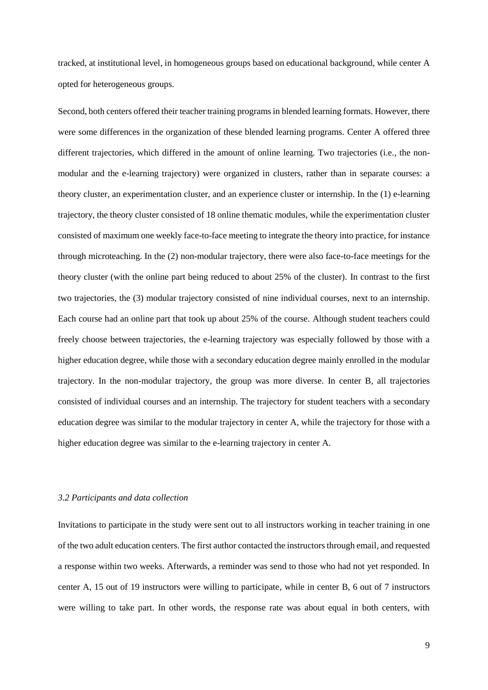tracked, at institutional level, in homogeneous groups based on educational background, while center A opted for heterogeneous groups.

Second, both centers offered their teacher training programs in blended learning formats. However, there were some differences in the organization of these blended learning programs. Center A offered three different trajectories, which differed in the amount of online learning. Two trajectories (i.e., the nonmodular and the e-learning trajectory) were organized in clusters, rather than in separate courses: a theory cluster, an experimentation cluster, and an experience cluster or internship. In the (1) e-learning trajectory, the theory cluster consisted of 18 online thematic modules, while the experimentation cluster consisted of maximum one weekly face-to-face meeting to integrate the theory into practice, for instance through microteaching. In the (2) non-modular trajectory, there were also face-to-face meetings for the theory cluster (with the online part being reduced to about 25% of the cluster). In contrast to the first two trajectories, the (3) modular trajectory consisted of nine individual courses, next to an internship. Each course had an online part that took up about 25% of the course. Although student teachers could freely choose between trajectories, the e-learning trajectory was especially followed by those with a higher education degree, while those with a secondary education degree mainly enrolled in the modular trajectory. In the non-modular trajectory, the group was more diverse. In center B, all trajectories consisted of individual courses and an internship. The trajectory for student teachers with a secondary education degree was similar to the modular trajectory in center A, while the trajectory for those with a higher education degree was similar to the e-learning trajectory in center A.

#### *3.2 Participants and data collection*

Invitations to participate in the study were sent out to all instructors working in teacher training in one of the two adult education centers. The first author contacted the instructors through email, and requested a response within two weeks. Afterwards, a reminder was send to those who had not yet responded. In center A, 15 out of 19 instructors were willing to participate, while in center B, 6 out of 7 instructors were willing to take part. In other words, the response rate was about equal in both centers, with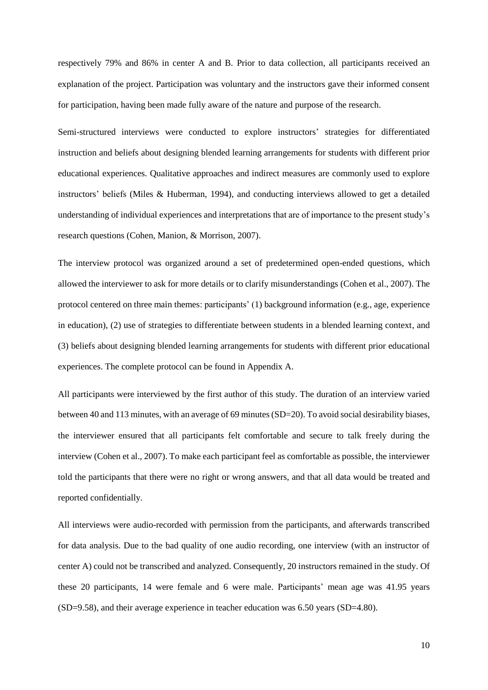respectively 79% and 86% in center A and B. Prior to data collection, all participants received an explanation of the project. Participation was voluntary and the instructors gave their informed consent for participation, having been made fully aware of the nature and purpose of the research.

Semi-structured interviews were conducted to explore instructors' strategies for differentiated instruction and beliefs about designing blended learning arrangements for students with different prior educational experiences. Qualitative approaches and indirect measures are commonly used to explore instructors' beliefs (Miles & Huberman, 1994), and conducting interviews allowed to get a detailed understanding of individual experiences and interpretations that are of importance to the present study's research questions (Cohen, Manion, & Morrison, 2007).

The interview protocol was organized around a set of predetermined open-ended questions, which allowed the interviewer to ask for more details or to clarify misunderstandings (Cohen et al., 2007). The protocol centered on three main themes: participants' (1) background information (e.g., age, experience in education), (2) use of strategies to differentiate between students in a blended learning context, and (3) beliefs about designing blended learning arrangements for students with different prior educational experiences. The complete protocol can be found in Appendix A.

All participants were interviewed by the first author of this study. The duration of an interview varied between 40 and 113 minutes, with an average of 69 minutes(SD=20). To avoid social desirability biases, the interviewer ensured that all participants felt comfortable and secure to talk freely during the interview (Cohen et al., 2007). To make each participant feel as comfortable as possible, the interviewer told the participants that there were no right or wrong answers, and that all data would be treated and reported confidentially.

All interviews were audio-recorded with permission from the participants, and afterwards transcribed for data analysis. Due to the bad quality of one audio recording, one interview (with an instructor of center A) could not be transcribed and analyzed. Consequently, 20 instructors remained in the study. Of these 20 participants, 14 were female and 6 were male. Participants' mean age was 41.95 years (SD=9.58), and their average experience in teacher education was 6.50 years (SD=4.80).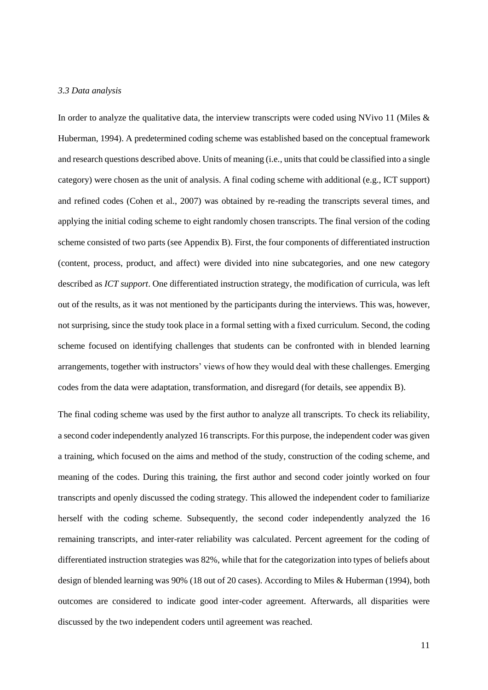#### *3.3 Data analysis*

In order to analyze the qualitative data, the interview transcripts were coded using NVivo 11 (Miles & Huberman, 1994). A predetermined coding scheme was established based on the conceptual framework and research questions described above. Units of meaning (i.e., units that could be classified into a single category) were chosen as the unit of analysis. A final coding scheme with additional (e.g., ICT support) and refined codes (Cohen et al., 2007) was obtained by re-reading the transcripts several times, and applying the initial coding scheme to eight randomly chosen transcripts. The final version of the coding scheme consisted of two parts (see Appendix B). First, the four components of differentiated instruction (content, process, product, and affect) were divided into nine subcategories, and one new category described as *ICT support*. One differentiated instruction strategy, the modification of curricula, was left out of the results, as it was not mentioned by the participants during the interviews. This was, however, not surprising, since the study took place in a formal setting with a fixed curriculum. Second, the coding scheme focused on identifying challenges that students can be confronted with in blended learning arrangements, together with instructors' views of how they would deal with these challenges. Emerging codes from the data were adaptation, transformation, and disregard (for details, see appendix B).

The final coding scheme was used by the first author to analyze all transcripts. To check its reliability, a second coder independently analyzed 16 transcripts. For this purpose, the independent coder was given a training, which focused on the aims and method of the study, construction of the coding scheme, and meaning of the codes. During this training, the first author and second coder jointly worked on four transcripts and openly discussed the coding strategy. This allowed the independent coder to familiarize herself with the coding scheme. Subsequently, the second coder independently analyzed the 16 remaining transcripts, and inter-rater reliability was calculated. Percent agreement for the coding of differentiated instruction strategies was 82%, while that for the categorization into types of beliefs about design of blended learning was 90% (18 out of 20 cases). According to Miles & Huberman (1994), both outcomes are considered to indicate good inter-coder agreement. Afterwards, all disparities were discussed by the two independent coders until agreement was reached.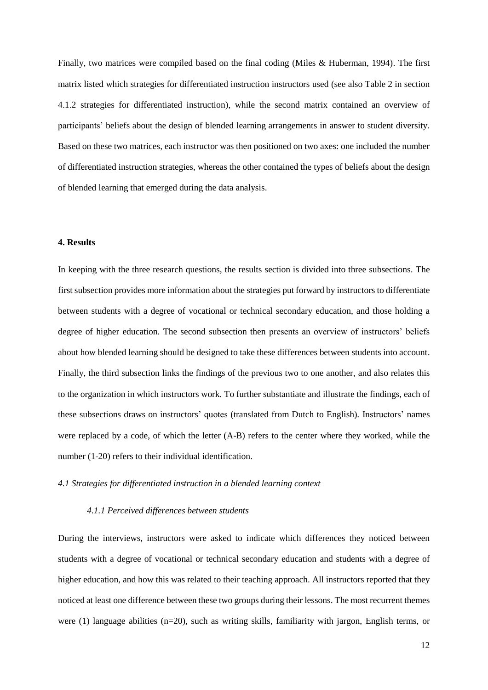Finally, two matrices were compiled based on the final coding (Miles & Huberman, 1994). The first matrix listed which strategies for differentiated instruction instructors used (see also Table 2 in section 4.1.2 strategies for differentiated instruction), while the second matrix contained an overview of participants' beliefs about the design of blended learning arrangements in answer to student diversity. Based on these two matrices, each instructor was then positioned on two axes: one included the number of differentiated instruction strategies, whereas the other contained the types of beliefs about the design of blended learning that emerged during the data analysis.

#### **4. Results**

In keeping with the three research questions, the results section is divided into three subsections. The first subsection provides more information about the strategies put forward by instructors to differentiate between students with a degree of vocational or technical secondary education, and those holding a degree of higher education. The second subsection then presents an overview of instructors' beliefs about how blended learning should be designed to take these differences between students into account. Finally, the third subsection links the findings of the previous two to one another, and also relates this to the organization in which instructors work. To further substantiate and illustrate the findings, each of these subsections draws on instructors' quotes (translated from Dutch to English). Instructors' names were replaced by a code, of which the letter (A-B) refers to the center where they worked, while the number (1-20) refers to their individual identification.

#### *4.1 Strategies for differentiated instruction in a blended learning context*

#### *4.1.1 Perceived differences between students*

During the interviews, instructors were asked to indicate which differences they noticed between students with a degree of vocational or technical secondary education and students with a degree of higher education, and how this was related to their teaching approach. All instructors reported that they noticed at least one difference between these two groups during their lessons. The most recurrent themes were (1) language abilities (n=20), such as writing skills, familiarity with jargon, English terms, or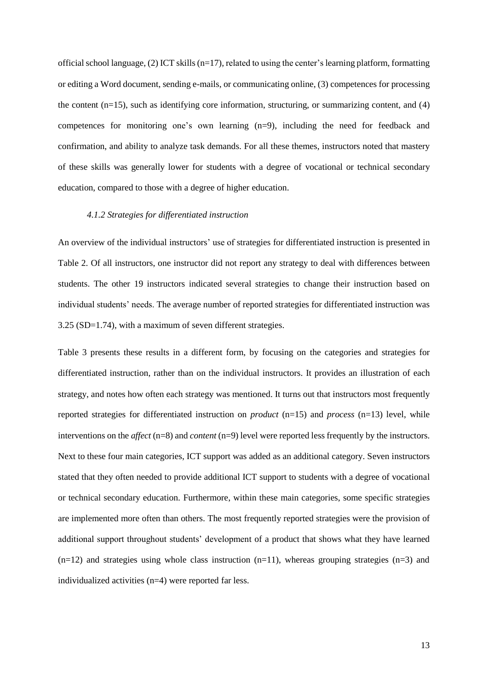official school language, (2) ICT skills (n=17), related to using the center's learning platform, formatting or editing a Word document, sending e-mails, or communicating online, (3) competences for processing the content (n=15), such as identifying core information, structuring, or summarizing content, and (4) competences for monitoring one's own learning (n=9), including the need for feedback and confirmation, and ability to analyze task demands. For all these themes, instructors noted that mastery of these skills was generally lower for students with a degree of vocational or technical secondary education, compared to those with a degree of higher education.

#### *4.1.2 Strategies for differentiated instruction*

An overview of the individual instructors' use of strategies for differentiated instruction is presented in Table 2. Of all instructors, one instructor did not report any strategy to deal with differences between students. The other 19 instructors indicated several strategies to change their instruction based on individual students' needs. The average number of reported strategies for differentiated instruction was 3.25 (SD=1.74), with a maximum of seven different strategies.

Table 3 presents these results in a different form, by focusing on the categories and strategies for differentiated instruction, rather than on the individual instructors. It provides an illustration of each strategy, and notes how often each strategy was mentioned. It turns out that instructors most frequently reported strategies for differentiated instruction on *product* (n=15) and *process* (n=13) level, while interventions on the *affect* (n=8) and *content* (n=9) level were reported less frequently by the instructors. Next to these four main categories, ICT support was added as an additional category. Seven instructors stated that they often needed to provide additional ICT support to students with a degree of vocational or technical secondary education. Furthermore, within these main categories, some specific strategies are implemented more often than others. The most frequently reported strategies were the provision of additional support throughout students' development of a product that shows what they have learned  $(n=12)$  and strategies using whole class instruction  $(n=11)$ , whereas grouping strategies  $(n=3)$  and individualized activities (n=4) were reported far less.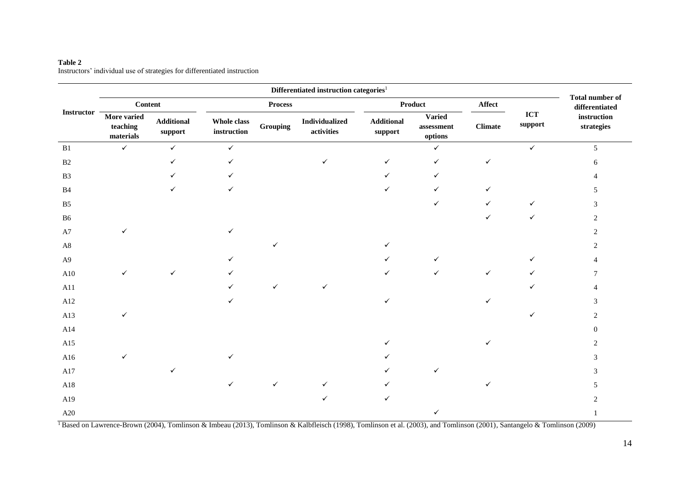|                   |                                      |                              | Differentiated instruction categories <sup>1</sup> |          |                                     |                              |                                        |                |                                          |                           |
|-------------------|--------------------------------------|------------------------------|----------------------------------------------------|----------|-------------------------------------|------------------------------|----------------------------------------|----------------|------------------------------------------|---------------------------|
|                   | <b>Content</b>                       |                              | <b>Process</b>                                     |          | Product                             |                              | Affect                                 |                | <b>Total number of</b><br>differentiated |                           |
| <b>Instructor</b> | More varied<br>teaching<br>materials | <b>Additional</b><br>support | Whole class<br>instruction                         | Grouping | <b>Individualized</b><br>activities | <b>Additional</b><br>support | <b>Varied</b><br>assessment<br>options | <b>Climate</b> | $\bf ICT$<br>support                     | instruction<br>strategies |
| B1                | $\checkmark$                         | $\checkmark$                 | $\checkmark$                                       |          |                                     |                              | $\checkmark$                           |                | $\checkmark$                             | 5                         |
| B2                |                                      | ✓                            | $\checkmark$                                       |          | ✓                                   | $\checkmark$                 | $\checkmark$                           | ✓              |                                          | 6                         |
| B <sub>3</sub>    |                                      |                              | ✓                                                  |          |                                     |                              | ✓                                      |                |                                          |                           |
| B4                |                                      |                              | ✓                                                  |          |                                     |                              | ✓                                      |                |                                          |                           |
| B <sub>5</sub>    |                                      |                              |                                                    |          |                                     |                              | ✓                                      | ✓              | ✓                                        | 3                         |
| ${\bf B6}$        |                                      |                              |                                                    |          |                                     |                              |                                        |                | ✓                                        | $\overline{c}$            |
| A7                | ✓                                    |                              | ✓                                                  |          |                                     |                              |                                        |                |                                          | $\overline{2}$            |
| $\rm A8$          |                                      |                              |                                                    |          |                                     |                              |                                        |                |                                          |                           |
| A <sub>9</sub>    |                                      |                              |                                                    |          |                                     |                              | $\checkmark$                           |                |                                          |                           |
| ${\rm A}10$       | $\checkmark$                         | ✓                            |                                                    |          |                                     |                              | ✓                                      | $\checkmark$   |                                          |                           |
| A11               |                                      |                              |                                                    | ✓        |                                     |                              |                                        |                | ✓                                        |                           |
| A12               |                                      |                              | ✓                                                  |          |                                     |                              |                                        |                |                                          | 3                         |
| A13               | $\checkmark$                         |                              |                                                    |          |                                     |                              |                                        |                | ✓                                        |                           |
| A14               |                                      |                              |                                                    |          |                                     |                              |                                        |                |                                          | $\Omega$                  |
| A15               |                                      |                              |                                                    |          |                                     |                              |                                        |                |                                          | 2                         |
| A16               | $\checkmark$                         |                              |                                                    |          |                                     |                              |                                        |                |                                          | 3                         |
| $\rm A17$         |                                      |                              |                                                    |          |                                     |                              | ✓                                      |                |                                          | 3                         |
| A18               |                                      |                              | $\checkmark$                                       | ✓        |                                     |                              |                                        |                |                                          | 5                         |
| A19               |                                      |                              |                                                    |          |                                     | ✓                            |                                        |                |                                          | 2                         |
| A20               |                                      |                              |                                                    |          |                                     |                              | ✓                                      |                |                                          |                           |

#### **Table 2** Instructors' individual use of strategies for differentiated instruction

<sup>1</sup> Based on Lawrence-Brown (2004), Tomlinson & Imbeau (2013), Tomlinson & Kalbfleisch (1998), Tomlinson et al. (2003), and Tomlinson (2001), Santangelo & Tomlinson (2009)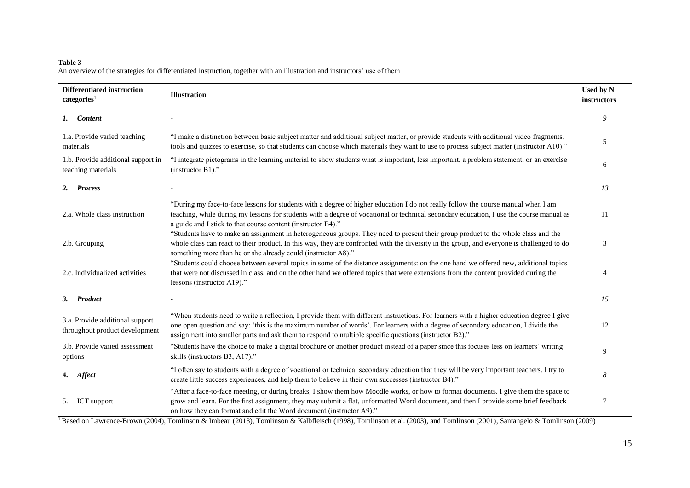#### **Table 3** An overview of the strategies for differentiated instruction, together with an illustration and instructors' use of them

| <b>Differentiated instruction</b><br>categories <sup>1</sup>      | <b>Illustration</b>                                                                                                                                                                                                                                                                                                                                                                      |                |  |  |  |
|-------------------------------------------------------------------|------------------------------------------------------------------------------------------------------------------------------------------------------------------------------------------------------------------------------------------------------------------------------------------------------------------------------------------------------------------------------------------|----------------|--|--|--|
| 1. Content                                                        |                                                                                                                                                                                                                                                                                                                                                                                          | 9              |  |  |  |
| 1.a. Provide varied teaching<br>materials                         | "I make a distinction between basic subject matter and additional subject matter, or provide students with additional video fragments,<br>tools and quizzes to exercise, so that students can choose which materials they want to use to process subject matter (instructor A10)."                                                                                                       | 5              |  |  |  |
| 1.b. Provide additional support in<br>teaching materials          | "I integrate pictograms in the learning material to show students what is important, less important, a problem statement, or an exercise<br>(instructor B1)."                                                                                                                                                                                                                            | 6              |  |  |  |
| <b>Process</b><br>2.                                              |                                                                                                                                                                                                                                                                                                                                                                                          | 13             |  |  |  |
| 2.a. Whole class instruction                                      | "During my face-to-face lessons for students with a degree of higher education I do not really follow the course manual when I am<br>teaching, while during my lessons for students with a degree of vocational or technical secondary education, I use the course manual as<br>a guide and I stick to that course content (instructor B4)."                                             | 11             |  |  |  |
| 2.b. Grouping                                                     | "Students have to make an assignment in heterogeneous groups. They need to present their group product to the whole class and the<br>whole class can react to their product. In this way, they are confronted with the diversity in the group, and everyone is challenged to do<br>something more than he or she already could (instructor A8)."                                         | 3              |  |  |  |
| 2.c. Individualized activities                                    | "Students could choose between several topics in some of the distance assignments: on the one hand we offered new, additional topics<br>that were not discussed in class, and on the other hand we offered topics that were extensions from the content provided during the<br>lessons (instructor A19)."                                                                                | $\overline{4}$ |  |  |  |
| 3. Product                                                        |                                                                                                                                                                                                                                                                                                                                                                                          | 15             |  |  |  |
| 3.a. Provide additional support<br>throughout product development | "When students need to write a reflection, I provide them with different instructions. For learners with a higher education degree I give<br>one open question and say: 'this is the maximum number of words'. For learners with a degree of secondary education, I divide the<br>assignment into smaller parts and ask them to respond to multiple specific questions (instructor B2)." | 12             |  |  |  |
| 3.b. Provide varied assessment<br>options                         | "Students have the choice to make a digital brochure or another product instead of a paper since this focuses less on learners' writing<br>skills (instructors B3, A17)."                                                                                                                                                                                                                | 9              |  |  |  |
| 4. Affect                                                         | "I often say to students with a degree of vocational or technical secondary education that they will be very important teachers. I try to<br>create little success experiences, and help them to believe in their own successes (instructor B4)."                                                                                                                                        | 8              |  |  |  |
| <b>ICT</b> support<br>5.                                          | "After a face-to-face meeting, or during breaks, I show them how Moodle works, or how to format documents. I give them the space to<br>grow and learn. For the first assignment, they may submit a flat, unformatted Word document, and then I provide some brief feedback<br>on how they can format and edit the Word document (instructor A9)."                                        | 7              |  |  |  |

<sup>1</sup> Based on Lawrence-Brown (2004), Tomlinson & Imbeau (2013), Tomlinson & Kalbfleisch (1998), Tomlinson et al. (2003), and Tomlinson (2001), Santangelo & Tomlinson (2009)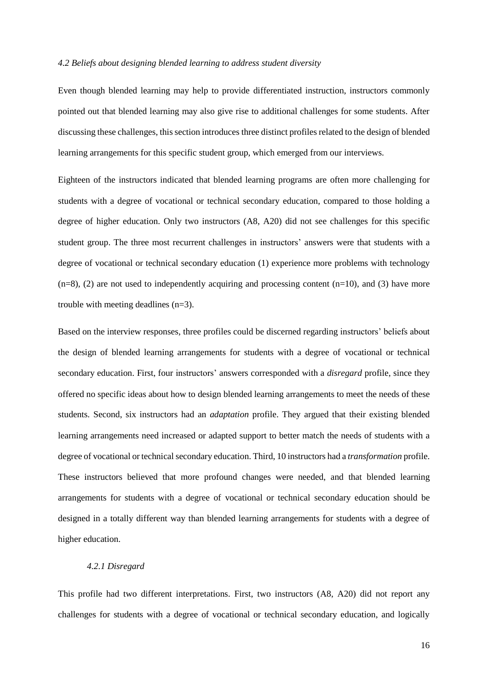#### *4.2 Beliefs about designing blended learning to address student diversity*

Even though blended learning may help to provide differentiated instruction, instructors commonly pointed out that blended learning may also give rise to additional challenges for some students. After discussing these challenges, this section introduces three distinct profiles related to the design of blended learning arrangements for this specific student group, which emerged from our interviews.

Eighteen of the instructors indicated that blended learning programs are often more challenging for students with a degree of vocational or technical secondary education, compared to those holding a degree of higher education. Only two instructors (A8, A20) did not see challenges for this specific student group. The three most recurrent challenges in instructors' answers were that students with a degree of vocational or technical secondary education (1) experience more problems with technology  $(n=8)$ , (2) are not used to independently acquiring and processing content  $(n=10)$ , and (3) have more trouble with meeting deadlines (n=3).

Based on the interview responses, three profiles could be discerned regarding instructors' beliefs about the design of blended learning arrangements for students with a degree of vocational or technical secondary education. First, four instructors' answers corresponded with a *disregard* profile, since they offered no specific ideas about how to design blended learning arrangements to meet the needs of these students. Second, six instructors had an *adaptation* profile. They argued that their existing blended learning arrangements need increased or adapted support to better match the needs of students with a degree of vocational or technical secondary education. Third, 10 instructors had a *transformation* profile. These instructors believed that more profound changes were needed, and that blended learning arrangements for students with a degree of vocational or technical secondary education should be designed in a totally different way than blended learning arrangements for students with a degree of higher education.

#### *4.2.1 Disregard*

This profile had two different interpretations. First, two instructors (A8, A20) did not report any challenges for students with a degree of vocational or technical secondary education, and logically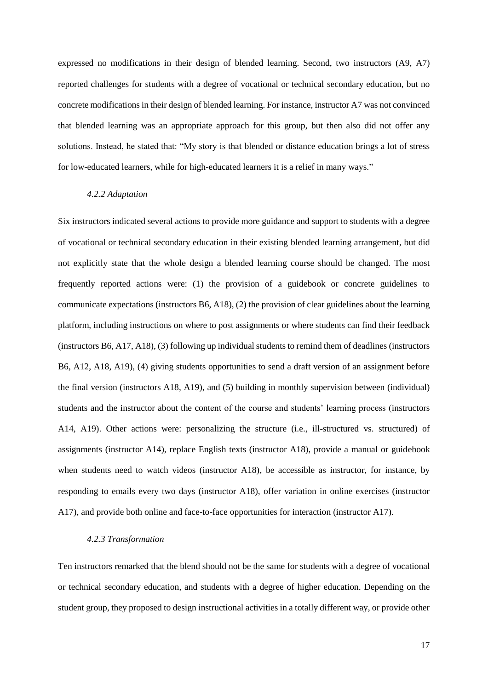expressed no modifications in their design of blended learning. Second, two instructors (A9, A7) reported challenges for students with a degree of vocational or technical secondary education, but no concrete modifications in their design of blended learning. For instance, instructor A7 was not convinced that blended learning was an appropriate approach for this group, but then also did not offer any solutions. Instead, he stated that: "My story is that blended or distance education brings a lot of stress for low-educated learners, while for high-educated learners it is a relief in many ways."

#### *4.2.2 Adaptation*

Six instructors indicated several actions to provide more guidance and support to students with a degree of vocational or technical secondary education in their existing blended learning arrangement, but did not explicitly state that the whole design a blended learning course should be changed. The most frequently reported actions were: (1) the provision of a guidebook or concrete guidelines to communicate expectations (instructors B6, A18), (2) the provision of clear guidelines about the learning platform, including instructions on where to post assignments or where students can find their feedback (instructors B6, A17, A18), (3) following up individual students to remind them of deadlines (instructors B6, A12, A18, A19), (4) giving students opportunities to send a draft version of an assignment before the final version (instructors A18, A19), and (5) building in monthly supervision between (individual) students and the instructor about the content of the course and students' learning process (instructors A14, A19). Other actions were: personalizing the structure (i.e., ill-structured vs. structured) of assignments (instructor A14), replace English texts (instructor A18), provide a manual or guidebook when students need to watch videos (instructor A18), be accessible as instructor, for instance, by responding to emails every two days (instructor A18), offer variation in online exercises (instructor A17), and provide both online and face-to-face opportunities for interaction (instructor A17).

#### *4.2.3 Transformation*

Ten instructors remarked that the blend should not be the same for students with a degree of vocational or technical secondary education, and students with a degree of higher education. Depending on the student group, they proposed to design instructional activities in a totally different way, or provide other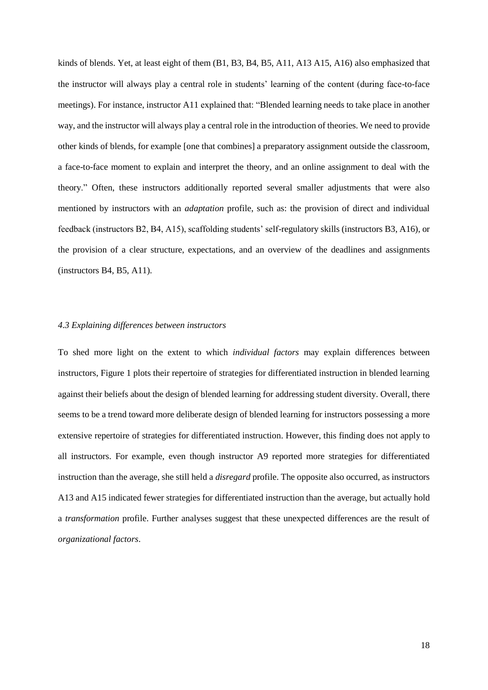kinds of blends. Yet, at least eight of them (B1, B3, B4, B5, A11, A13 A15, A16) also emphasized that the instructor will always play a central role in students' learning of the content (during face-to-face meetings). For instance, instructor A11 explained that: "Blended learning needs to take place in another way, and the instructor will always play a central role in the introduction of theories. We need to provide other kinds of blends, for example [one that combines] a preparatory assignment outside the classroom, a face-to-face moment to explain and interpret the theory, and an online assignment to deal with the theory." Often, these instructors additionally reported several smaller adjustments that were also mentioned by instructors with an *adaptation* profile, such as: the provision of direct and individual feedback (instructors B2, B4, A15), scaffolding students' self-regulatory skills (instructors B3, A16), or the provision of a clear structure, expectations, and an overview of the deadlines and assignments (instructors B4, B5, A11).

#### *4.3 Explaining differences between instructors*

To shed more light on the extent to which *individual factors* may explain differences between instructors, Figure 1 plots their repertoire of strategies for differentiated instruction in blended learning against their beliefs about the design of blended learning for addressing student diversity. Overall, there seems to be a trend toward more deliberate design of blended learning for instructors possessing a more extensive repertoire of strategies for differentiated instruction. However, this finding does not apply to all instructors. For example, even though instructor A9 reported more strategies for differentiated instruction than the average, she still held a *disregard* profile. The opposite also occurred, as instructors A13 and A15 indicated fewer strategies for differentiated instruction than the average, but actually hold a *transformation* profile. Further analyses suggest that these unexpected differences are the result of *organizational factors*.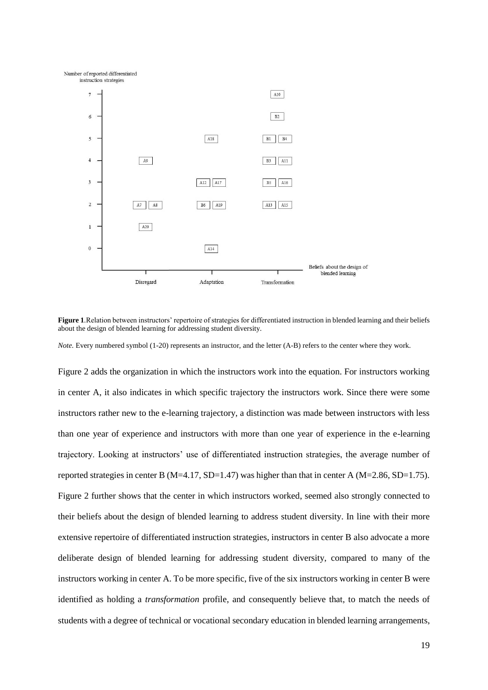

**Figure 1***.*Relation between instructors' repertoire of strategies for differentiated instruction in blended learning and their beliefs about the design of blended learning for addressing student diversity.

*Note.* Every numbered symbol (1-20) represents an instructor, and the letter (A-B) refers to the center where they work.

Figure 2 adds the organization in which the instructors work into the equation. For instructors working in center A, it also indicates in which specific trajectory the instructors work. Since there were some instructors rather new to the e-learning trajectory, a distinction was made between instructors with less than one year of experience and instructors with more than one year of experience in the e-learning trajectory. Looking at instructors' use of differentiated instruction strategies, the average number of reported strategies in center B (M=4.17, SD=1.47) was higher than that in center A (M=2.86, SD=1.75). Figure 2 further shows that the center in which instructors worked, seemed also strongly connected to their beliefs about the design of blended learning to address student diversity. In line with their more extensive repertoire of differentiated instruction strategies, instructors in center B also advocate a more deliberate design of blended learning for addressing student diversity, compared to many of the instructors working in center A. To be more specific, five of the six instructors working in center B were identified as holding a *transformation* profile, and consequently believe that, to match the needs of students with a degree of technical or vocational secondary education in blended learning arrangements,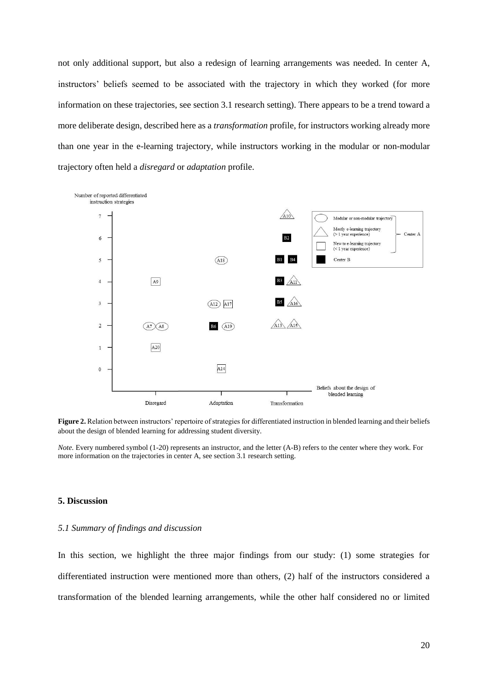not only additional support, but also a redesign of learning arrangements was needed. In center A, instructors' beliefs seemed to be associated with the trajectory in which they worked (for more information on these trajectories, see section 3.1 research setting). There appears to be a trend toward a more deliberate design, described here as a *transformation* profile, for instructors working already more than one year in the e-learning trajectory, while instructors working in the modular or non-modular trajectory often held a *disregard* or *adaptation* profile.



Figure 2. Relation between instructors' repertoire of strategies for differentiated instruction in blended learning and their beliefs about the design of blended learning for addressing student diversity.

*Note.* Every numbered symbol (1-20) represents an instructor, and the letter (A-B) refers to the center where they work. For more information on the trajectories in center A, see section 3.1 research setting.

#### **5. Discussion**

#### *5.1 Summary of findings and discussion*

In this section, we highlight the three major findings from our study: (1) some strategies for differentiated instruction were mentioned more than others, (2) half of the instructors considered a transformation of the blended learning arrangements, while the other half considered no or limited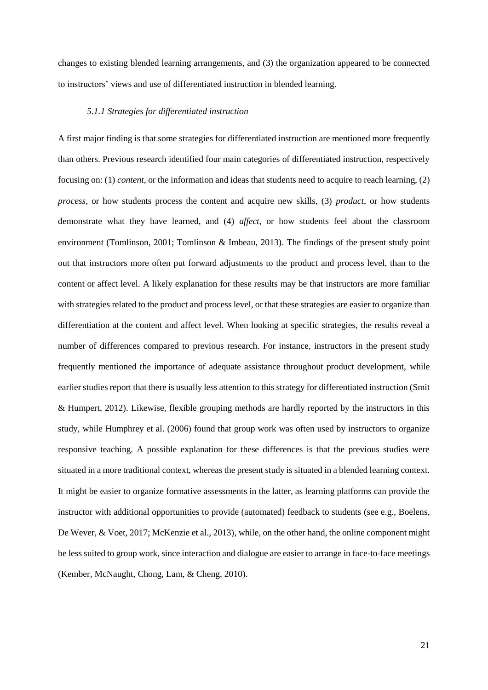changes to existing blended learning arrangements, and (3) the organization appeared to be connected to instructors' views and use of differentiated instruction in blended learning.

#### *5.1.1 Strategies for differentiated instruction*

A first major finding is that some strategies for differentiated instruction are mentioned more frequently than others. Previous research identified four main categories of differentiated instruction, respectively focusing on: (1) *content*, or the information and ideas that students need to acquire to reach learning, (2) *process,* or how students process the content and acquire new skills, (3) *product*, or how students demonstrate what they have learned, and (4) *affect*, or how students feel about the classroom environment (Tomlinson, 2001; Tomlinson & Imbeau, 2013). The findings of the present study point out that instructors more often put forward adjustments to the product and process level, than to the content or affect level. A likely explanation for these results may be that instructors are more familiar with strategies related to the product and process level, or that these strategies are easier to organize than differentiation at the content and affect level. When looking at specific strategies, the results reveal a number of differences compared to previous research. For instance, instructors in the present study frequently mentioned the importance of adequate assistance throughout product development, while earlier studies report that there is usually less attention to this strategy for differentiated instruction (Smit & Humpert, 2012). Likewise, flexible grouping methods are hardly reported by the instructors in this study, while Humphrey et al. (2006) found that group work was often used by instructors to organize responsive teaching. A possible explanation for these differences is that the previous studies were situated in a more traditional context, whereas the present study is situated in a blended learning context. It might be easier to organize formative assessments in the latter, as learning platforms can provide the instructor with additional opportunities to provide (automated) feedback to students (see e.g., Boelens, De Wever, & Voet, 2017; McKenzie et al., 2013), while, on the other hand, the online component might be less suited to group work, since interaction and dialogue are easier to arrange in face-to-face meetings (Kember, McNaught, Chong, Lam, & Cheng, 2010).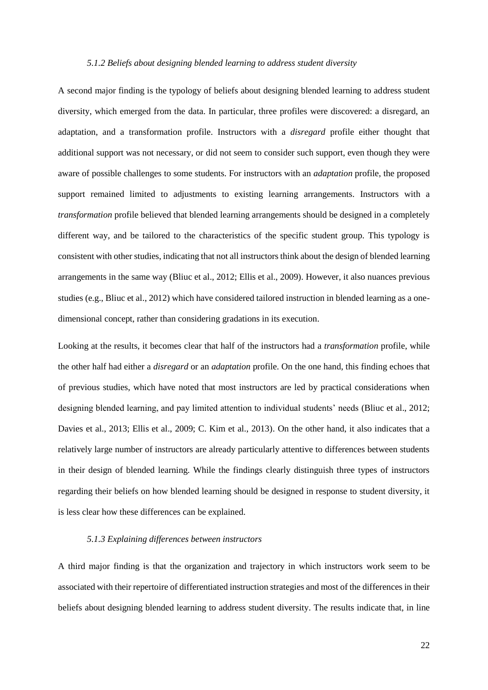#### *5.1.2 Beliefs about designing blended learning to address student diversity*

A second major finding is the typology of beliefs about designing blended learning to address student diversity, which emerged from the data. In particular, three profiles were discovered: a disregard, an adaptation, and a transformation profile. Instructors with a *disregard* profile either thought that additional support was not necessary, or did not seem to consider such support, even though they were aware of possible challenges to some students. For instructors with an *adaptation* profile, the proposed support remained limited to adjustments to existing learning arrangements. Instructors with a *transformation* profile believed that blended learning arrangements should be designed in a completely different way, and be tailored to the characteristics of the specific student group. This typology is consistent with other studies, indicating that not all instructors think about the design of blended learning arrangements in the same way (Bliuc et al., 2012; Ellis et al., 2009). However, it also nuances previous studies (e.g., Bliuc et al., 2012) which have considered tailored instruction in blended learning as a onedimensional concept, rather than considering gradations in its execution.

Looking at the results, it becomes clear that half of the instructors had a *transformation* profile, while the other half had either a *disregard* or an *adaptation* profile. On the one hand, this finding echoes that of previous studies, which have noted that most instructors are led by practical considerations when designing blended learning, and pay limited attention to individual students' needs (Bliuc et al., 2012; Davies et al., 2013; Ellis et al., 2009; C. Kim et al., 2013). On the other hand, it also indicates that a relatively large number of instructors are already particularly attentive to differences between students in their design of blended learning. While the findings clearly distinguish three types of instructors regarding their beliefs on how blended learning should be designed in response to student diversity, it is less clear how these differences can be explained.

#### *5.1.3 Explaining differences between instructors*

A third major finding is that the organization and trajectory in which instructors work seem to be associated with their repertoire of differentiated instruction strategies and most of the differences in their beliefs about designing blended learning to address student diversity. The results indicate that, in line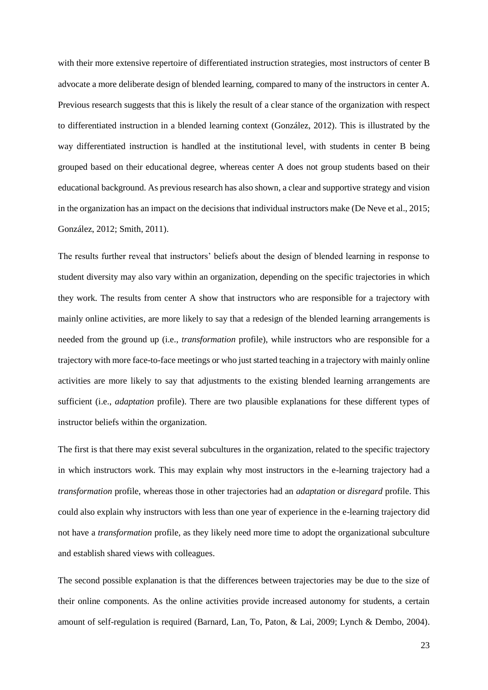with their more extensive repertoire of differentiated instruction strategies, most instructors of center B advocate a more deliberate design of blended learning, compared to many of the instructors in center A. Previous research suggests that this is likely the result of a clear stance of the organization with respect to differentiated instruction in a blended learning context (González, 2012). This is illustrated by the way differentiated instruction is handled at the institutional level, with students in center B being grouped based on their educational degree, whereas center A does not group students based on their educational background. As previous research has also shown, a clear and supportive strategy and vision in the organization has an impact on the decisions that individual instructors make (De Neve et al., 2015; González, 2012; Smith, 2011).

The results further reveal that instructors' beliefs about the design of blended learning in response to student diversity may also vary within an organization, depending on the specific trajectories in which they work. The results from center A show that instructors who are responsible for a trajectory with mainly online activities, are more likely to say that a redesign of the blended learning arrangements is needed from the ground up (i.e., *transformation* profile), while instructors who are responsible for a trajectory with more face-to-face meetings or who just started teaching in a trajectory with mainly online activities are more likely to say that adjustments to the existing blended learning arrangements are sufficient (i.e., *adaptation* profile). There are two plausible explanations for these different types of instructor beliefs within the organization.

The first is that there may exist several subcultures in the organization, related to the specific trajectory in which instructors work. This may explain why most instructors in the e-learning trajectory had a *transformation* profile, whereas those in other trajectories had an *adaptation* or *disregard* profile. This could also explain why instructors with less than one year of experience in the e-learning trajectory did not have a *transformation* profile, as they likely need more time to adopt the organizational subculture and establish shared views with colleagues.

The second possible explanation is that the differences between trajectories may be due to the size of their online components. As the online activities provide increased autonomy for students, a certain amount of self-regulation is required (Barnard, Lan, To, Paton, & Lai, 2009; Lynch & Dembo, 2004).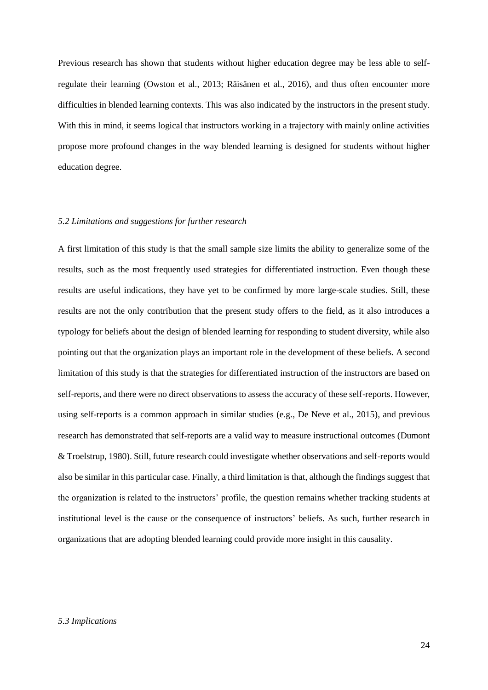Previous research has shown that students without higher education degree may be less able to selfregulate their learning (Owston et al., 2013; Räisänen et al., 2016), and thus often encounter more difficulties in blended learning contexts. This was also indicated by the instructors in the present study. With this in mind, it seems logical that instructors working in a trajectory with mainly online activities propose more profound changes in the way blended learning is designed for students without higher education degree.

### *5.2 Limitations and suggestions for further research*

A first limitation of this study is that the small sample size limits the ability to generalize some of the results, such as the most frequently used strategies for differentiated instruction. Even though these results are useful indications, they have yet to be confirmed by more large-scale studies. Still, these results are not the only contribution that the present study offers to the field, as it also introduces a typology for beliefs about the design of blended learning for responding to student diversity, while also pointing out that the organization plays an important role in the development of these beliefs. A second limitation of this study is that the strategies for differentiated instruction of the instructors are based on self-reports, and there were no direct observations to assess the accuracy of these self-reports. However, using self-reports is a common approach in similar studies (e.g., De Neve et al., 2015), and previous research has demonstrated that self-reports are a valid way to measure instructional outcomes (Dumont & Troelstrup, 1980). Still, future research could investigate whether observations and self-reports would also be similar in this particular case. Finally, a third limitation is that, although the findings suggest that the organization is related to the instructors' profile, the question remains whether tracking students at institutional level is the cause or the consequence of instructors' beliefs. As such, further research in organizations that are adopting blended learning could provide more insight in this causality.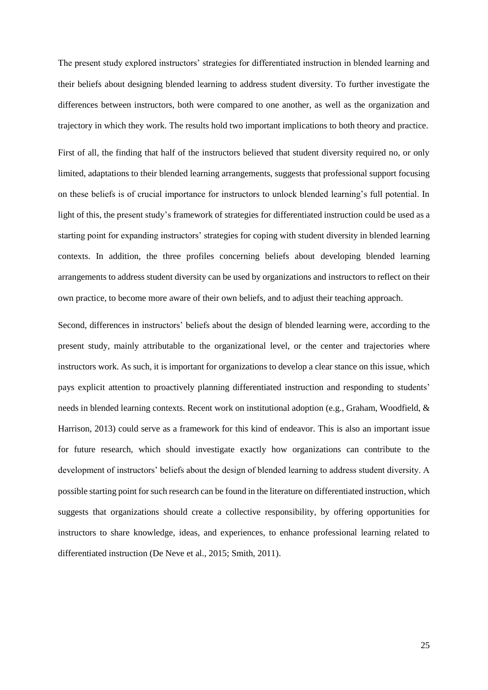The present study explored instructors' strategies for differentiated instruction in blended learning and their beliefs about designing blended learning to address student diversity. To further investigate the differences between instructors, both were compared to one another, as well as the organization and trajectory in which they work. The results hold two important implications to both theory and practice.

First of all, the finding that half of the instructors believed that student diversity required no, or only limited, adaptations to their blended learning arrangements, suggests that professional support focusing on these beliefs is of crucial importance for instructors to unlock blended learning's full potential. In light of this, the present study's framework of strategies for differentiated instruction could be used as a starting point for expanding instructors' strategies for coping with student diversity in blended learning contexts. In addition, the three profiles concerning beliefs about developing blended learning arrangements to address student diversity can be used by organizations and instructors to reflect on their own practice, to become more aware of their own beliefs, and to adjust their teaching approach.

Second, differences in instructors' beliefs about the design of blended learning were, according to the present study, mainly attributable to the organizational level, or the center and trajectories where instructors work. As such, it is important for organizations to develop a clear stance on this issue, which pays explicit attention to proactively planning differentiated instruction and responding to students' needs in blended learning contexts. Recent work on institutional adoption (e.g., Graham, Woodfield, & Harrison, 2013) could serve as a framework for this kind of endeavor. This is also an important issue for future research, which should investigate exactly how organizations can contribute to the development of instructors' beliefs about the design of blended learning to address student diversity. A possible starting point for such research can be found in the literature on differentiated instruction, which suggests that organizations should create a collective responsibility, by offering opportunities for instructors to share knowledge, ideas, and experiences, to enhance professional learning related to differentiated instruction (De Neve et al., 2015; Smith, 2011).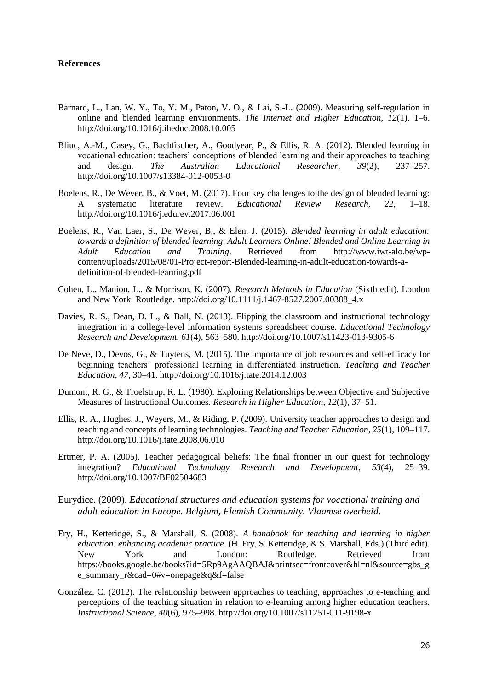#### **References**

- Barnard, L., Lan, W. Y., To, Y. M., Paton, V. O., & Lai, S.-L. (2009). Measuring self-regulation in online and blended learning environments. *The Internet and Higher Education*, *12*(1), 1–6. http://doi.org/10.1016/j.iheduc.2008.10.005
- Bliuc, A.-M., Casey, G., Bachfischer, A., Goodyear, P., & Ellis, R. A. (2012). Blended learning in vocational education: teachers' conceptions of blended learning and their approaches to teaching and design. *The Australian Educational Researcher*, *39*(2), 237–257. http://doi.org/10.1007/s13384-012-0053-0
- Boelens, R., De Wever, B., & Voet, M. (2017). Four key challenges to the design of blended learning: A systematic literature review. *Educational Review Research*, *22*, 1–18. http://doi.org/10.1016/j.edurev.2017.06.001
- Boelens, R., Van Laer, S., De Wever, B., & Elen, J. (2015). *Blended learning in adult education: towards a definition of blended learning*. *Adult Learners Online! Blended and Online Learning in Adult Education and Training*. Retrieved from http://www.iwt-alo.be/wpcontent/uploads/2015/08/01-Project-report-Blended-learning-in-adult-education-towards-adefinition-of-blended-learning.pdf
- Cohen, L., Manion, L., & Morrison, K. (2007). *Research Methods in Education* (Sixth edit). London and New York: Routledge. http://doi.org/10.1111/j.1467-8527.2007.00388\_4.x
- Davies, R. S., Dean, D. L., & Ball, N. (2013). Flipping the classroom and instructional technology integration in a college-level information systems spreadsheet course. *Educational Technology Research and Development*, *61*(4), 563–580. http://doi.org/10.1007/s11423-013-9305-6
- De Neve, D., Devos, G., & Tuytens, M. (2015). The importance of job resources and self-efficacy for beginning teachers' professional learning in differentiated instruction. *Teaching and Teacher Education*, *47*, 30–41. http://doi.org/10.1016/j.tate.2014.12.003
- Dumont, R. G., & Troelstrup, R. L. (1980). Exploring Relationships between Objective and Subjective Measures of Instructional Outcomes. *Research in Higher Education*, *12*(1), 37–51.
- Ellis, R. A., Hughes, J., Weyers, M., & Riding, P. (2009). University teacher approaches to design and teaching and concepts of learning technologies. *Teaching and Teacher Education*, *25*(1), 109–117. http://doi.org/10.1016/j.tate.2008.06.010
- Ertmer, P. A. (2005). Teacher pedagogical beliefs: The final frontier in our quest for technology integration? *Educational Technology Research and Development*, *53*(4), 25–39. http://doi.org/10.1007/BF02504683
- Eurydice. (2009). *Educational structures and education systems for vocational training and adult education in Europe. Belgium, Flemish Community. Vlaamse overheid*.
- Fry, H., Ketteridge, S., & Marshall, S. (2008). *A handbook for teaching and learning in higher education: enhancing academic practice*. (H. Fry, S. Ketteridge, & S. Marshall, Eds.) (Third edit). New York and London: Routledge. Retrieved from https://books.google.be/books?id=5Rp9AgAAQBAJ&printsec=frontcover&hl=nl&source=gbs\_g e\_summary\_r&cad=0#v=onepage&q&f=false
- González, C. (2012). The relationship between approaches to teaching, approaches to e-teaching and perceptions of the teaching situation in relation to e-learning among higher education teachers. *Instructional Science*, *40*(6), 975–998. http://doi.org/10.1007/s11251-011-9198-x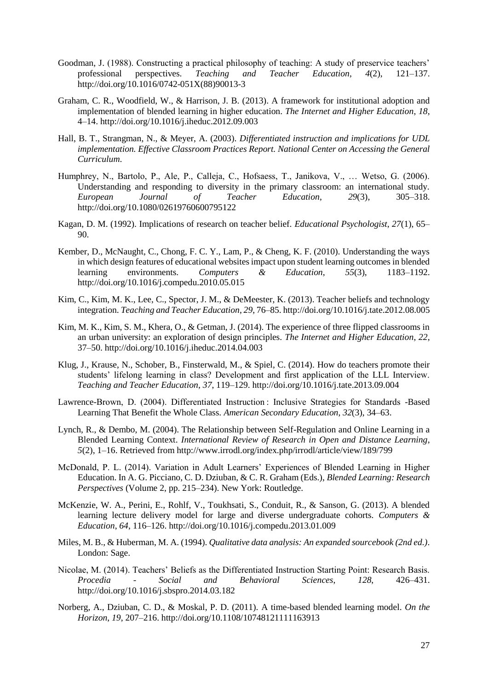- Goodman, J. (1988). Constructing a practical philosophy of teaching: A study of preservice teachers' professional perspectives. *Teaching and Teacher Education*, *4*(2), 121–137. http://doi.org/10.1016/0742-051X(88)90013-3
- Graham, C. R., Woodfield, W., & Harrison, J. B. (2013). A framework for institutional adoption and implementation of blended learning in higher education. *The Internet and Higher Education*, *18*, 4–14. http://doi.org/10.1016/j.iheduc.2012.09.003
- Hall, B. T., Strangman, N., & Meyer, A. (2003). *Differentiated instruction and implications for UDL implementation. Effective Classroom Practices Report. National Center on Accessing the General Curriculum*.
- Humphrey, N., Bartolo, P., Ale, P., Calleja, C., Hofsaess, T., Janikova, V., … Wetso, G. (2006). Understanding and responding to diversity in the primary classroom: an international study. *European Journal of Teacher Education*, *29*(3), 305–318. http://doi.org/10.1080/02619760600795122
- Kagan, D. M. (1992). Implications of research on teacher belief. *Educational Psychologist*, *27*(1), 65– 90.
- Kember, D., McNaught, C., Chong, F. C. Y., Lam, P., & Cheng, K. F. (2010). Understanding the ways in which design features of educational websites impact upon student learning outcomes in blended learning environments. *Computers & Education*, *55*(3), 1183–1192. http://doi.org/10.1016/j.compedu.2010.05.015
- Kim, C., Kim, M. K., Lee, C., Spector, J. M., & DeMeester, K. (2013). Teacher beliefs and technology integration. *Teaching and Teacher Education*, *29*, 76–85. http://doi.org/10.1016/j.tate.2012.08.005
- Kim, M. K., Kim, S. M., Khera, O., & Getman, J. (2014). The experience of three flipped classrooms in an urban university: an exploration of design principles. *The Internet and Higher Education*, *22*, 37–50. http://doi.org/10.1016/j.iheduc.2014.04.003
- Klug, J., Krause, N., Schober, B., Finsterwald, M., & Spiel, C. (2014). How do teachers promote their students' lifelong learning in class? Development and first application of the LLL Interview. *Teaching and Teacher Education*, *37*, 119–129. http://doi.org/10.1016/j.tate.2013.09.004
- Lawrence-Brown, D. (2004). Differentiated Instruction : Inclusive Strategies for Standards -Based Learning That Benefit the Whole Class. *American Secondary Education*, *32*(3), 34–63.
- Lynch, R., & Dembo, M. (2004). The Relationship between Self-Regulation and Online Learning in a Blended Learning Context. *International Review of Research in Open and Distance Learning*, *5*(2), 1–16. Retrieved from http://www.irrodl.org/index.php/irrodl/article/view/189/799
- McDonald, P. L. (2014). Variation in Adult Learners' Experiences of Blended Learning in Higher Education. In A. G. Picciano, C. D. Dziuban, & C. R. Graham (Eds.), *Blended Learning: Research Perspectives* (Volume 2, pp. 215–234). New York: Routledge.
- McKenzie, W. A., Perini, E., Rohlf, V., Toukhsati, S., Conduit, R., & Sanson, G. (2013). A blended learning lecture delivery model for large and diverse undergraduate cohorts. *Computers & Education*, *64*, 116–126. http://doi.org/10.1016/j.compedu.2013.01.009
- Miles, M. B., & Huberman, M. A. (1994). *Qualitative data analysis: An expanded sourcebook (2nd ed.)*. London: Sage.
- Nicolae, M. (2014). Teachers' Beliefs as the Differentiated Instruction Starting Point: Research Basis. *Procedia - Social and Behavioral Sciences*, *128*, 426–431. http://doi.org/10.1016/j.sbspro.2014.03.182
- Norberg, A., Dziuban, C. D., & Moskal, P. D. (2011). A time-based blended learning model. *On the Horizon*, *19*, 207–216. http://doi.org/10.1108/10748121111163913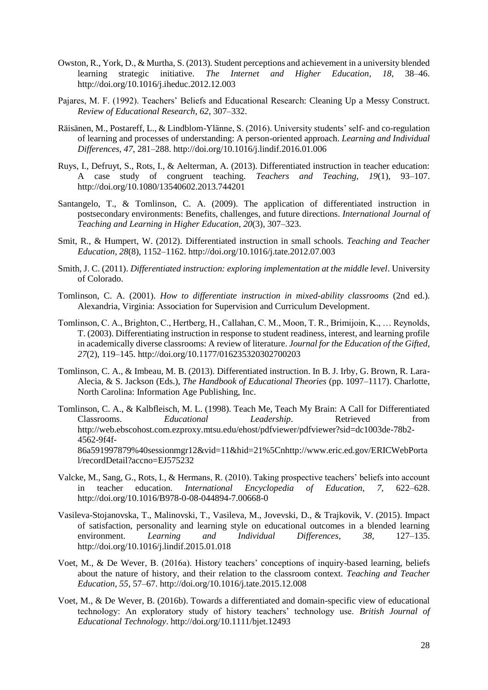- Owston, R., York, D., & Murtha, S. (2013). Student perceptions and achievement in a university blended learning strategic initiative. *The Internet and Higher Education*, *18*, 38–46. http://doi.org/10.1016/j.iheduc.2012.12.003
- Pajares, M. F. (1992). Teachers' Beliefs and Educational Research: Cleaning Up a Messy Construct. *Review of Educational Research*, *62*, 307–332.
- Räisänen, M., Postareff, L., & Lindblom-Ylänne, S. (2016). University students' self- and co-regulation of learning and processes of understanding: A person-oriented approach. *Learning and Individual Differences*, *47*, 281–288. http://doi.org/10.1016/j.lindif.2016.01.006
- Ruys, I., Defruyt, S., Rots, I., & Aelterman, A. (2013). Differentiated instruction in teacher education: A case study of congruent teaching. *Teachers and Teaching*, *19*(1), 93–107. http://doi.org/10.1080/13540602.2013.744201
- Santangelo, T., & Tomlinson, C. A. (2009). The application of differentiated instruction in postsecondary environments: Benefits, challenges, and future directions. *International Journal of Teaching and Learning in Higher Education*, *20*(3), 307–323.
- Smit, R., & Humpert, W. (2012). Differentiated instruction in small schools. *Teaching and Teacher Education*, *28*(8), 1152–1162. http://doi.org/10.1016/j.tate.2012.07.003
- Smith, J. C. (2011). *Differentiated instruction: exploring implementation at the middle level*. University of Colorado.
- Tomlinson, C. A. (2001). *How to differentiate instruction in mixed-ability classrooms* (2nd ed.). Alexandria, Virginia: Association for Supervision and Curriculum Development.
- Tomlinson, C. A., Brighton, C., Hertberg, H., Callahan, C. M., Moon, T. R., Brimijoin, K., … Reynolds, T. (2003). Differentiating instruction in response to student readiness, interest, and learning profile in academically diverse classrooms: A review of literature. *Journal for the Education of the Gifted*, *27*(2), 119–145. http://doi.org/10.1177/016235320302700203
- Tomlinson, C. A., & Imbeau, M. B. (2013). Differentiated instruction. In B. J. Irby, G. Brown, R. Lara-Alecia, & S. Jackson (Eds.), *The Handbook of Educational Theories* (pp. 1097–1117). Charlotte, North Carolina: Information Age Publishing, Inc.
- Tomlinson, C. A., & Kalbfleisch, M. L. (1998). Teach Me, Teach My Brain: A Call for Differentiated Classrooms. *Educational Leadership*. Retrieved from http://web.ebscohost.com.ezproxy.mtsu.edu/ehost/pdfviewer/pdfviewer?sid=dc1003de-78b2- 4562-9f4f-86a591997879%40sessionmgr12&vid=11&hid=21%5Cnhttp://www.eric.ed.gov/ERICWebPorta l/recordDetail?accno=EJ575232
- Valcke, M., Sang, G., Rots, I., & Hermans, R. (2010). Taking prospective teachers' beliefs into account in teacher education. *International Encyclopedia of Education*, *7*, 622–628. http://doi.org/10.1016/B978-0-08-044894-7.00668-0
- Vasileva-Stojanovska, T., Malinovski, T., Vasileva, M., Jovevski, D., & Trajkovik, V. (2015). Impact of satisfaction, personality and learning style on educational outcomes in a blended learning environment. *Learning and Individual Differences*, *38*, 127–135. http://doi.org/10.1016/j.lindif.2015.01.018
- Voet, M., & De Wever, B. (2016a). History teachers' conceptions of inquiry-based learning, beliefs about the nature of history, and their relation to the classroom context. *Teaching and Teacher Education*, *55*, 57–67. http://doi.org/10.1016/j.tate.2015.12.008
- Voet, M., & De Wever, B. (2016b). Towards a differentiated and domain-specific view of educational technology: An exploratory study of history teachers' technology use. *British Journal of Educational Technology*. http://doi.org/10.1111/bjet.12493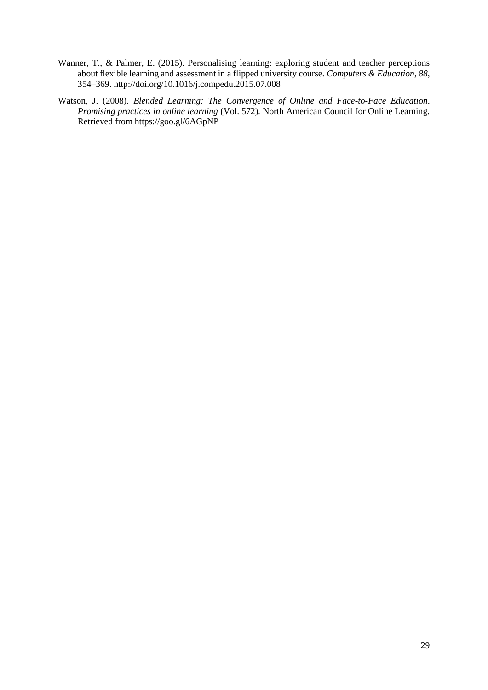- Wanner, T., & Palmer, E. (2015). Personalising learning: exploring student and teacher perceptions about flexible learning and assessment in a flipped university course. *Computers & Education*, *88*, 354–369. http://doi.org/10.1016/j.compedu.2015.07.008
- Watson, J. (2008). *Blended Learning: The Convergence of Online and Face-to-Face Education*. *Promising practices in online learning* (Vol. 572). North American Council for Online Learning. Retrieved from https://goo.gl/6AGpNP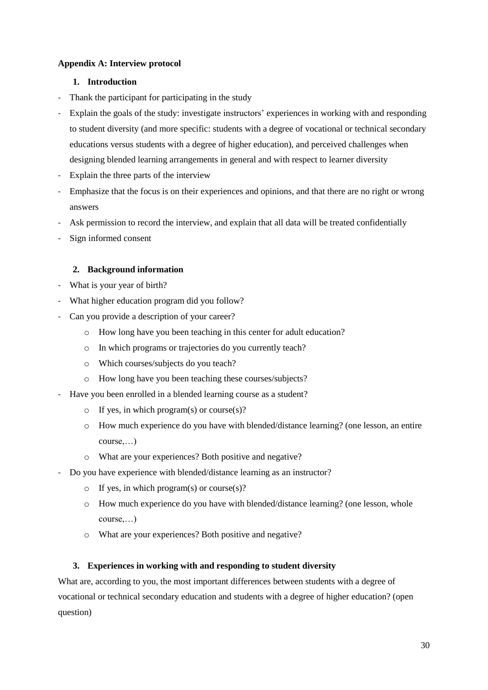## **Appendix A: Interview protocol**

#### **1. Introduction**

- Thank the participant for participating in the study
- Explain the goals of the study: investigate instructors' experiences in working with and responding to student diversity (and more specific: students with a degree of vocational or technical secondary educations versus students with a degree of higher education), and perceived challenges when designing blended learning arrangements in general and with respect to learner diversity
- Explain the three parts of the interview
- Emphasize that the focus is on their experiences and opinions, and that there are no right or wrong answers
- Ask permission to record the interview, and explain that all data will be treated confidentially
- Sign informed consent

# **2. Background information**

- What is your year of birth?
- What higher education program did you follow?
- Can you provide a description of your career?
	- o How long have you been teaching in this center for adult education?
	- o In which programs or trajectories do you currently teach?
	- o Which courses/subjects do you teach?
	- o How long have you been teaching these courses/subjects?
- Have you been enrolled in a blended learning course as a student?
	- $\circ$  If yes, in which program(s) or course(s)?
	- o How much experience do you have with blended/distance learning? (one lesson, an entire course,…)
	- o What are your experiences? Both positive and negative?
- Do you have experience with blended/distance learning as an instructor?
	- o If yes, in which program(s) or course(s)?
	- o How much experience do you have with blended/distance learning? (one lesson, whole course,…)
	- o What are your experiences? Both positive and negative?

#### **3. Experiences in working with and responding to student diversity**

What are, according to you, the most important differences between students with a degree of vocational or technical secondary education and students with a degree of higher education? (open question)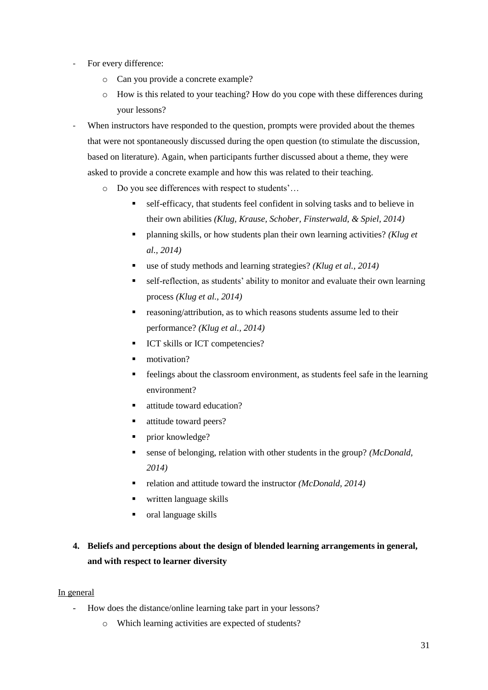- For every difference:
	- o Can you provide a concrete example?
	- o How is this related to your teaching? How do you cope with these differences during your lessons?
- When instructors have responded to the question, prompts were provided about the themes that were not spontaneously discussed during the open question (to stimulate the discussion, based on literature). Again, when participants further discussed about a theme, they were asked to provide a concrete example and how this was related to their teaching.
	- o Do you see differences with respect to students'…
		- self-efficacy, that students feel confident in solving tasks and to believe in their own abilities *(Klug, Krause, Schober, Finsterwald, & Spiel, 2014)*
		- planning skills, or how students plan their own learning activities? *(Klug et al., 2014)*
		- use of study methods and learning strategies? *(Klug et al., 2014)*
		- self-reflection, as students' ability to monitor and evaluate their own learning process *(Klug et al., 2014)*
		- reasoning/attribution, as to which reasons students assume led to their performance? *(Klug et al., 2014)*
		- **ICT** skills or ICT competencies?
		- motivation?
		- feelings about the classroom environment, as students feel safe in the learning environment?
		- attitude toward education?
		- attitude toward peers?
		- prior knowledge?
		- sense of belonging, relation with other students in the group? *(McDonald, 2014)*
		- relation and attitude toward the instructor *(McDonald, 2014)*
		- written language skills
		- oral language skills
- **4. Beliefs and perceptions about the design of blended learning arrangements in general, and with respect to learner diversity**

#### In general

- How does the distance/online learning take part in your lessons?
	- o Which learning activities are expected of students?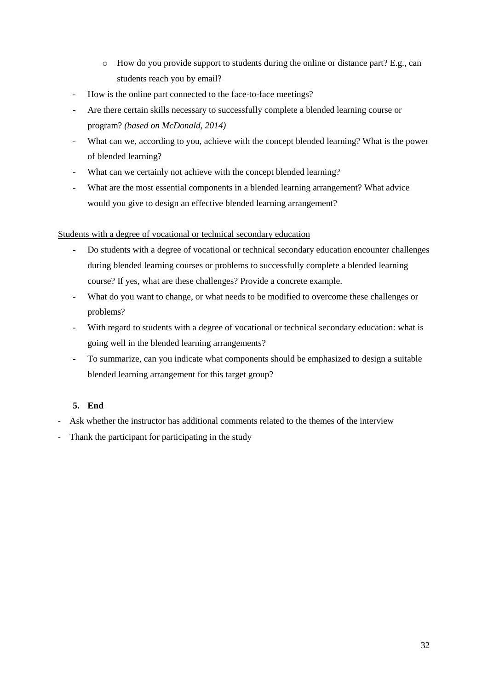- o How do you provide support to students during the online or distance part? E.g., can students reach you by email?
- How is the online part connected to the face-to-face meetings?
- Are there certain skills necessary to successfully complete a blended learning course or program? *(based on McDonald, 2014)*
- What can we, according to you, achieve with the concept blended learning? What is the power of blended learning?
- What can we certainly not achieve with the concept blended learning?
- What are the most essential components in a blended learning arrangement? What advice would you give to design an effective blended learning arrangement?

# Students with a degree of vocational or technical secondary education

- Do students with a degree of vocational or technical secondary education encounter challenges during blended learning courses or problems to successfully complete a blended learning course? If yes, what are these challenges? Provide a concrete example.
- What do you want to change, or what needs to be modified to overcome these challenges or problems?
- With regard to students with a degree of vocational or technical secondary education: what is going well in the blended learning arrangements?
- To summarize, can you indicate what components should be emphasized to design a suitable blended learning arrangement for this target group?

# **5. End**

- Ask whether the instructor has additional comments related to the themes of the interview
- Thank the participant for participating in the study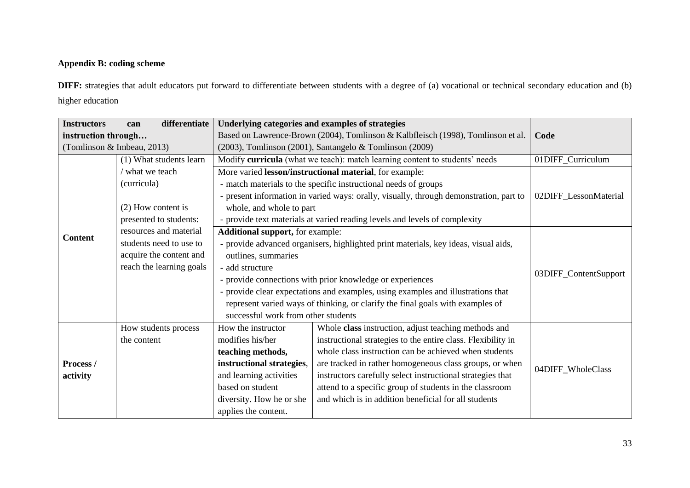# **Appendix B: coding scheme**

**DIFF:** strategies that adult educators put forward to differentiate between students with a degree of (a) vocational or technical secondary education and (b) higher education

| <b>Instructors</b>         | differentiate<br>can     | Underlying categories and examples of strategies                                       |                                                                                     |                   |  |
|----------------------------|--------------------------|----------------------------------------------------------------------------------------|-------------------------------------------------------------------------------------|-------------------|--|
| instruction through        |                          | Based on Lawrence-Brown (2004), Tomlinson & Kalbfleisch (1998), Tomlinson et al.       | Code                                                                                |                   |  |
| (Tomlinson & Imbeau, 2013) |                          | (2003), Tomlinson (2001), Santangelo & Tomlinson (2009)                                |                                                                                     |                   |  |
|                            | (1) What students learn  | Modify curricula (what we teach): match learning content to students' needs            | 01DIFF_Curriculum                                                                   |                   |  |
|                            | / what we teach          | More varied lesson/instructional material, for example:                                | 02DIFF_LessonMaterial                                                               |                   |  |
|                            | (curricula)              | - match materials to the specific instructional needs of groups                        |                                                                                     |                   |  |
|                            |                          | - present information in varied ways: orally, visually, through demonstration, part to |                                                                                     |                   |  |
|                            | (2) How content is       | whole, and whole to part                                                               |                                                                                     |                   |  |
|                            | presented to students:   |                                                                                        | - provide text materials at varied reading levels and levels of complexity          |                   |  |
| <b>Content</b>             | resources and material   | <b>Additional support, for example:</b>                                                |                                                                                     |                   |  |
|                            | students need to use to  |                                                                                        | - provide advanced organisers, highlighted print materials, key ideas, visual aids, |                   |  |
|                            | acquire the content and  | outlines, summaries                                                                    | 03DIFF_ContentSupport                                                               |                   |  |
|                            | reach the learning goals | - add structure                                                                        |                                                                                     |                   |  |
|                            |                          | - provide connections with prior knowledge or experiences                              |                                                                                     |                   |  |
|                            |                          | - provide clear expectations and examples, using examples and illustrations that       |                                                                                     |                   |  |
|                            |                          | represent varied ways of thinking, or clarify the final goals with examples of         |                                                                                     |                   |  |
|                            |                          |                                                                                        | successful work from other students                                                 |                   |  |
|                            | How students process     | How the instructor                                                                     | Whole class instruction, adjust teaching methods and                                |                   |  |
|                            | the content              | modifies his/her                                                                       | instructional strategies to the entire class. Flexibility in                        |                   |  |
|                            |                          | teaching methods,                                                                      | whole class instruction can be achieved when students                               |                   |  |
| Process /                  |                          | instructional strategies,                                                              | are tracked in rather homogeneous class groups, or when                             | 04DIFF_WholeClass |  |
| activity                   |                          | and learning activities                                                                | instructors carefully select instructional strategies that                          |                   |  |
|                            |                          | based on student                                                                       | attend to a specific group of students in the classroom                             |                   |  |
|                            |                          | diversity. How he or she                                                               | and which is in addition beneficial for all students                                |                   |  |
|                            |                          | applies the content.                                                                   |                                                                                     |                   |  |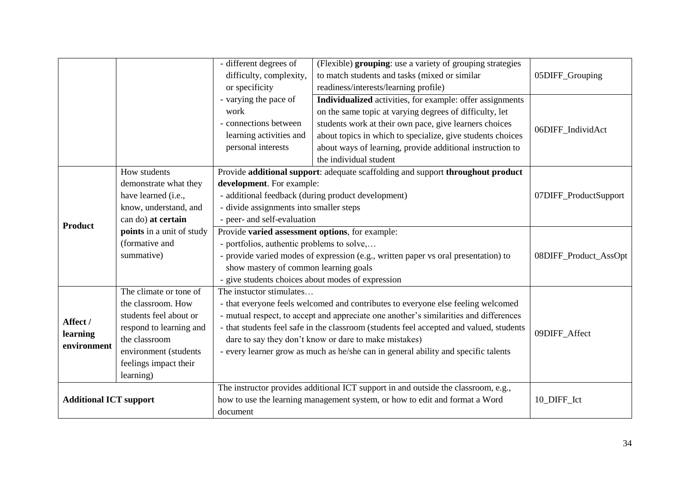|                               |                           | - different degrees of                                                                  | (Flexible) grouping: use a variety of grouping strategies                          |                   |
|-------------------------------|---------------------------|-----------------------------------------------------------------------------------------|------------------------------------------------------------------------------------|-------------------|
|                               |                           | difficulty, complexity,                                                                 | to match students and tasks (mixed or similar                                      | 05DIFF_Grouping   |
|                               |                           | or specificity                                                                          | readiness/interests/learning profile)                                              |                   |
|                               |                           | - varying the pace of                                                                   | Individualized activities, for example: offer assignments                          |                   |
|                               |                           | work                                                                                    | on the same topic at varying degrees of difficulty, let                            |                   |
|                               |                           | - connections between                                                                   | students work at their own pace, give learners choices                             | 06DIFF_IndividAct |
|                               |                           | learning activities and                                                                 | about topics in which to specialize, give students choices                         |                   |
|                               |                           | personal interests                                                                      | about ways of learning, provide additional instruction to                          |                   |
|                               |                           |                                                                                         | the individual student                                                             |                   |
|                               | How students              |                                                                                         | Provide additional support: adequate scaffolding and support throughout product    |                   |
|                               | demonstrate what they     | development. For example:                                                               |                                                                                    |                   |
|                               | have learned (i.e.,       | - additional feedback (during product development)                                      | 07DIFF_ProductSupport                                                              |                   |
|                               | know, understand, and     | - divide assignments into smaller steps                                                 |                                                                                    |                   |
|                               | can do) at certain        | - peer- and self-evaluation                                                             |                                                                                    |                   |
| <b>Product</b>                | points in a unit of study | Provide varied assessment options, for example:                                         |                                                                                    |                   |
|                               | (formative and            | - portfolios, authentic problems to solve,                                              |                                                                                    |                   |
|                               | summative)                | - provide varied modes of expression (e.g., written paper vs oral presentation) to      | 08DIFF_Product_AssOpt                                                              |                   |
|                               |                           | show mastery of common learning goals                                                   |                                                                                    |                   |
|                               |                           | - give students choices about modes of expression                                       |                                                                                    |                   |
|                               | The climate or tone of    | The instuctor stimulates                                                                |                                                                                    |                   |
|                               | the classroom. How        | - that everyone feels welcomed and contributes to everyone else feeling welcomed        | 09DIFF_Affect                                                                      |                   |
| Affect /                      | students feel about or    | - mutual respect, to accept and appreciate one another's similarities and differences   |                                                                                    |                   |
|                               | respond to learning and   | - that students feel safe in the classroom (students feel accepted and valued, students |                                                                                    |                   |
| learning                      | the classroom             | dare to say they don't know or dare to make mistakes)                                   |                                                                                    |                   |
| environment                   | environment (students     | - every learner grow as much as he/she can in general ability and specific talents      |                                                                                    |                   |
|                               | feelings impact their     |                                                                                         |                                                                                    |                   |
|                               | learning)                 |                                                                                         |                                                                                    |                   |
| <b>Additional ICT support</b> |                           |                                                                                         | The instructor provides additional ICT support in and outside the classroom, e.g., |                   |
|                               |                           | how to use the learning management system, or how to edit and format a Word             | 10_DIFF_Ict                                                                        |                   |
|                               |                           | document                                                                                |                                                                                    |                   |
|                               |                           |                                                                                         |                                                                                    |                   |